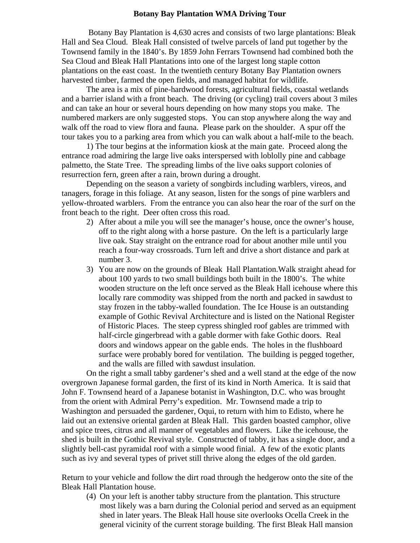## **Botany Bay Plantation WMA Driving Tour**

 Botany Bay Plantation is 4,630 acres and consists of two large plantations: Bleak Hall and Sea Cloud. Bleak Hall consisted of twelve parcels of land put together by the Townsend family in the 1840's. By 1859 John Ferrars Townsend had combined both the Sea Cloud and Bleak Hall Plantations into one of the largest long staple cotton plantations on the east coast. In the twentieth century Botany Bay Plantation owners harvested timber, farmed the open fields, and managed habitat for wildlife.

 The area is a mix of pine-hardwood forests, agricultural fields, coastal wetlands and a barrier island with a front beach. The driving (or cycling) trail covers about 3 miles and can take an hour or several hours depending on how many stops you make. The numbered markers are only suggested stops. You can stop anywhere along the way and walk off the road to view flora and fauna. Please park on the shoulder. A spur off the tour takes you to a parking area from which you can walk about a half-mile to the beach.

 1) The tour begins at the information kiosk at the main gate. Proceed along the entrance road admiring the large live oaks interspersed with loblolly pine and cabbage palmetto, the State Tree. The spreading limbs of the live oaks support colonies of resurrection fern, green after a rain, brown during a drought.

Depending on the season a variety of songbirds including warblers, vireos, and tanagers, forage in this foliage. At any season, listen for the songs of pine warblers and yellow-throated warblers. From the entrance you can also hear the roar of the surf on the front beach to the right. Deer often cross this road.

- 2) After about a mile you will see the manager's house, once the owner's house, off to the right along with a horse pasture. On the left is a particularly large live oak. Stay straight on the entrance road for about another mile until you reach a four-way crossroads. Turn left and drive a short distance and park at number 3.
- 3) You are now on the grounds of Bleak Hall Plantation.Walk straight ahead for about 100 yards to two small buildings both built in the 1800's. The white wooden structure on the left once served as the Bleak Hall icehouse where this locally rare commodity was shipped from the north and packed in sawdust to stay frozen in the tabby-walled foundation. The Ice House is an outstanding example of Gothic Revival Architecture and is listed on the National Register of Historic Places. The steep cypress shingled roof gables are trimmed with half-circle gingerbread with a gable dormer with fake Gothic doors. Real doors and windows appear on the gable ends. The holes in the flushboard surface were probably bored for ventilation. The building is pegged together, and the walls are filled with sawdust insulation.

On the right a small tabby gardener's shed and a well stand at the edge of the now overgrown Japanese formal garden, the first of its kind in North America. It is said that John F. Townsend heard of a Japanese botanist in Washington, D.C. who was brought from the orient with Admiral Perry's expedition. Mr. Townsend made a trip to Washington and persuaded the gardener, Oqui, to return with him to Edisto, where he laid out an extensive oriental garden at Bleak Hall. This garden boasted camphor, olive and spice trees, citrus and all manner of vegetables and flowers. Like the icehouse, the shed is built in the Gothic Revival style. Constructed of tabby, it has a single door, and a slightly bell-cast pyramidal roof with a simple wood finial. A few of the exotic plants such as ivy and several types of privet still thrive along the edges of the old garden.

Return to your vehicle and follow the dirt road through the hedgerow onto the site of the Bleak Hall Plantation house.

(4) On your left is another tabby structure from the plantation. This structure most likely was a barn during the Colonial period and served as an equipment shed in later years. The Bleak Hall house site overlooks Ocella Creek in the general vicinity of the current storage building. The first Bleak Hall mansion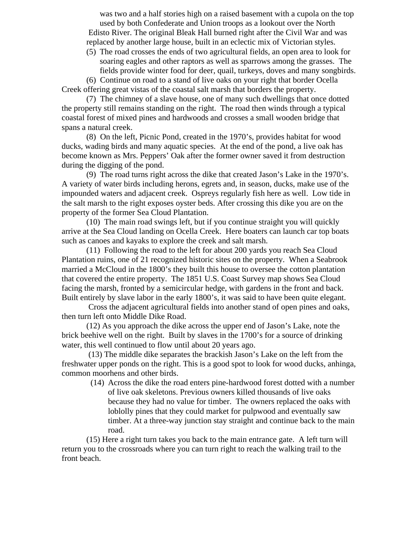was two and a half stories high on a raised basement with a cupola on the top used by both Confederate and Union troops as a lookout over the North Edisto River. The original Bleak Hall burned right after the Civil War and was replaced by another large house, built in an eclectic mix of Victorian styles.

(5) The road crosses the ends of two agricultural fields, an open area to look for soaring eagles and other raptors as well as sparrows among the grasses. The fields provide winter food for deer, quail, turkeys, doves and many songbirds.

 (6) Continue on road to a stand of live oaks on your right that border Ocella Creek offering great vistas of the coastal salt marsh that borders the property.

(7) The chimney of a slave house, one of many such dwellings that once dotted the property still remains standing on the right. The road then winds through a typical coastal forest of mixed pines and hardwoods and crosses a small wooden bridge that spans a natural creek.

(8) On the left, Picnic Pond, created in the 1970's, provides habitat for wood ducks, wading birds and many aquatic species. At the end of the pond, a live oak has become known as Mrs. Peppers' Oak after the former owner saved it from destruction during the digging of the pond.

(9) The road turns right across the dike that created Jason's Lake in the 1970's. A variety of water birds including herons, egrets and, in season, ducks, make use of the impounded waters and adjacent creek. Ospreys regularly fish here as well. Low tide in the salt marsh to the right exposes oyster beds. After crossing this dike you are on the property of the former Sea Cloud Plantation.

(10) The main road swings left, but if you continue straight you will quickly arrive at the Sea Cloud landing on Ocella Creek. Here boaters can launch car top boats such as canoes and kayaks to explore the creek and salt marsh.

(11) Following the road to the left for about 200 yards you reach Sea Cloud Plantation ruins, one of 21 recognized historic sites on the property. When a Seabrook married a McCloud in the 1800's they built this house to oversee the cotton plantation that covered the entire property. The 1851 U.S. Coast Survey map shows Sea Cloud facing the marsh, fronted by a semicircular hedge, with gardens in the front and back. Built entirely by slave labor in the early 1800's, it was said to have been quite elegant.

 Cross the adjacent agricultural fields into another stand of open pines and oaks, then turn left onto Middle Dike Road.

(12) As you approach the dike across the upper end of Jason's Lake, note the brick beehive well on the right. Built by slaves in the 1700's for a source of drinking water, this well continued to flow until about 20 years ago.

 (13) The middle dike separates the brackish Jason's Lake on the left from the freshwater upper ponds on the right. This is a good spot to look for wood ducks, anhinga, common moorhens and other birds.

(14) Across the dike the road enters pine-hardwood forest dotted with a number of live oak skeletons. Previous owners killed thousands of live oaks because they had no value for timber. The owners replaced the oaks with loblolly pines that they could market for pulpwood and eventually saw timber. At a three-way junction stay straight and continue back to the main road.

(15) Here a right turn takes you back to the main entrance gate. A left turn will return you to the crossroads where you can turn right to reach the walking trail to the front beach.